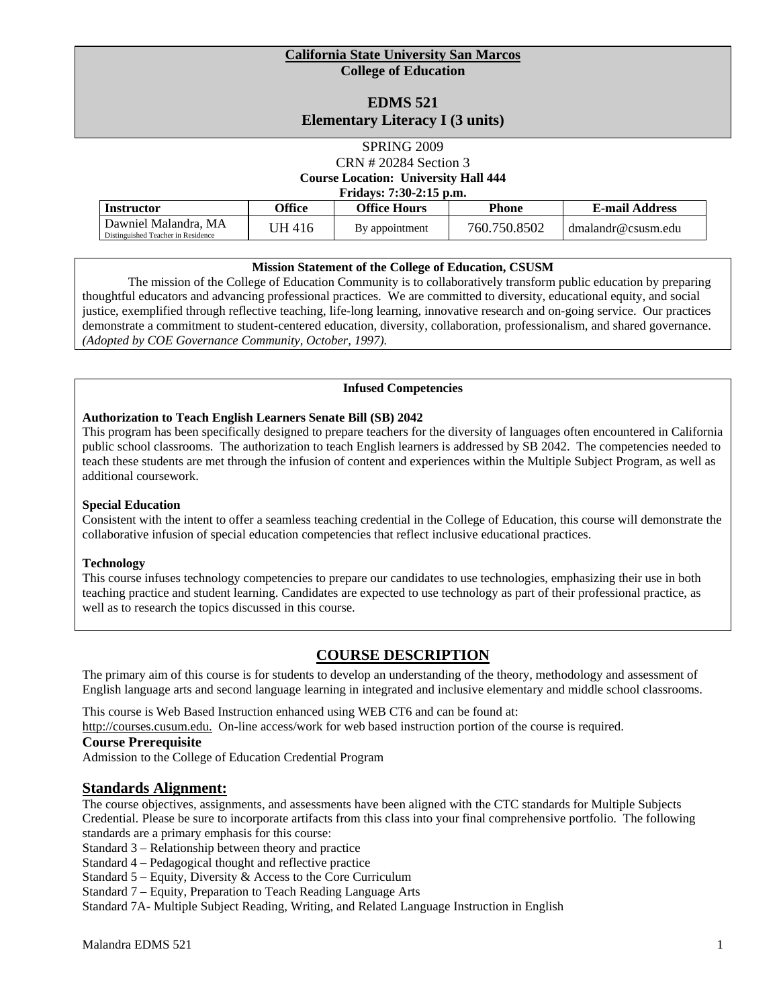#### **California State University San Marcos College of Education**

# **EDMS 521 Elementary Literacy I (3 units)**

## SPRING 2009 CRN # 20284 Section 3 **Course Location: University Hall 444 Fridays: 7:30-2:15 p.m.**

| Instructor                         | <b>Office</b> | <b>Office Hours</b> | Phone        | <b>E-mail Address</b> |
|------------------------------------|---------------|---------------------|--------------|-----------------------|
| Dawniel Malandra, MA               | JH 416        | By appointment      | 760.750.8502 | dmalandr@csusm.edu    |
| Distinguished Teacher in Residence |               |                     |              |                       |

#### **Mission Statement of the College of Education, CSUSM**

 thoughtful educators and advancing professional practices. We are committed to diversity, educational equity, and social demonstrate a commitment to student-centered education, diversity, collaboration, professionalism, and shared governance. The mission of the College of Education Community is to collaboratively transform public education by preparing justice, exemplified through reflective teaching, life-long learning, innovative research and on-going service. Our practices *(Adopted by COE Governance Community, October, 1997).* 

#### **Infused Competencies**

#### **Authorization to Teach English Learners Senate Bill (SB) 2042**

This program has been specifically designed to prepare teachers for the diversity of languages often encountered in California public school classrooms. The authorization to teach English learners is addressed by SB 2042. The competencies needed to teach these students are met through the infusion of content and experiences within the Multiple Subject Program, as well as additional coursework.

#### **Special Education**

Consistent with the intent to offer a seamless teaching credential in the College of Education, this course will demonstrate the collaborative infusion of special education competencies that reflect inclusive educational practices.

#### **Technology**

 This course infuses technology competencies to prepare our candidates to use technologies, emphasizing their use in both teaching practice and student learning. Candidates are expected to use technology as part of their professional practice, as well as to research the topics discussed in this course.

# **COURSE DESCRIPTION**

 The primary aim of this course is for students to develop an understanding of the theory, methodology and assessment of English language arts and second language learning in integrated and inclusive elementary and middle school classrooms.

This course is Web Based Instruction enhanced using WEB CT6 and can be found at:

http://courses.cusum.edu. On-line access/work for web based instruction portion of the course is required.

#### **Course Prerequisite**

Admission to the College of Education Credential Program

#### **Standards Alignment:**

The course objectives, assignments, and assessments have been aligned with the CTC standards for Multiple Subjects Credential. Please be sure to incorporate artifacts from this class into your final comprehensive portfolio. The following standards are a primary emphasis for this course:

Standard 3 – Relationship between theory and practice

Standard 4 – Pedagogical thought and reflective practice

Standard 5 – Equity, Diversity & Access to the Core Curriculum

Standard 7 – Equity, Preparation to Teach Reading Language Arts

Standard 7A- Multiple Subject Reading, Writing, and Related Language Instruction in English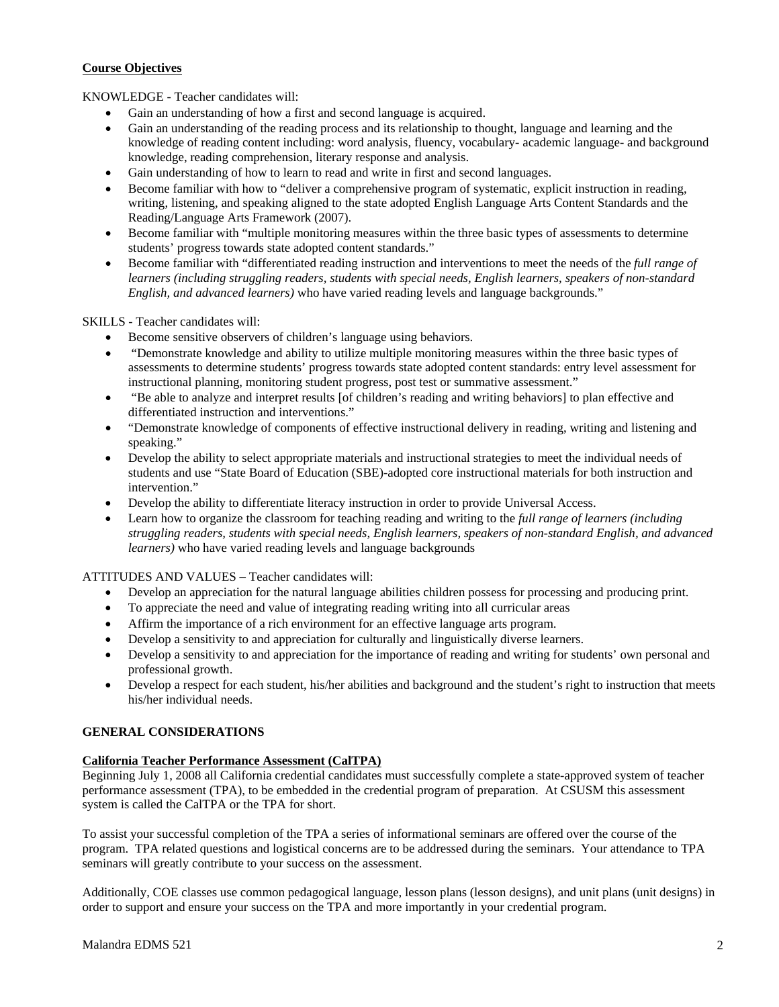## **Course Objectives**

KNOWLEDGE - Teacher candidates will:

- • Gain an understanding of how a first and second language is acquired.
- Gain an understanding of the reading process and its relationship to thought, language and learning and the knowledge of reading content including: word analysis, fluency, vocabulary- academic language- and background knowledge, reading comprehension, literary response and analysis.
- Gain understanding of how to learn to read and write in first and second languages.
- • Become familiar with how to "deliver a comprehensive program of systematic, explicit instruction in reading, writing, listening, and speaking aligned to the state adopted English Language Arts Content Standards and the Reading/Language Arts Framework (2007).
- Become familiar with "multiple monitoring measures within the three basic types of assessments to determine students' progress towards state adopted content standards."
- Become familiar with "differentiated reading instruction and interventions to meet the needs of the *full range of learners (including struggling readers, students with special needs, English learners, speakers of non-standard English, and advanced learners)* who have varied reading levels and language backgrounds."

#### SKILLS - Teacher candidates will:

- Become sensitive observers of children's language using behaviors.
- "Demonstrate knowledge and ability to utilize multiple monitoring measures within the three basic types of assessments to determine students' progress towards state adopted content standards: entry level assessment for instructional planning, monitoring student progress, post test or summative assessment."
- "Be able to analyze and interpret results [of children's reading and writing behaviors] to plan effective and differentiated instruction and interventions."
- • "Demonstrate knowledge of components of effective instructional delivery in reading, writing and listening and speaking."
- Develop the ability to select appropriate materials and instructional strategies to meet the individual needs of students and use "State Board of Education (SBE)-adopted core instructional materials for both instruction and intervention"
- Develop the ability to differentiate literacy instruction in order to provide Universal Access.
- Learn how to organize the classroom for teaching reading and writing to the *full range of learners (including struggling readers, students with special needs, English learners, speakers of non-standard English, and advanced learners)* who have varied reading levels and language backgrounds

#### ATTITUDES AND VALUES – Teacher candidates will:

- Develop an appreciation for the natural language abilities children possess for processing and producing print.
- To appreciate the need and value of integrating reading writing into all curricular areas
- Affirm the importance of a rich environment for an effective language arts program.
- Develop a sensitivity to and appreciation for culturally and linguistically diverse learners.
- Develop a sensitivity to and appreciation for the importance of reading and writing for students' own personal and professional growth.
- Develop a respect for each student, his/her abilities and background and the student's right to instruction that meets his/her individual needs.

#### **GENERAL CONSIDERATIONS**

#### **California Teacher Performance Assessment (CalTPA)**

Beginning July 1, 2008 all California credential candidates must successfully complete a state-approved system of teacher performance assessment (TPA), to be embedded in the credential program of preparation. At CSUSM this assessment system is called the CalTPA or the TPA for short.

To assist your successful completion of the TPA a series of informational seminars are offered over the course of the program. TPA related questions and logistical concerns are to be addressed during the seminars. Your attendance to TPA seminars will greatly contribute to your success on the assessment.

 Additionally, COE classes use common pedagogical language, lesson plans (lesson designs), and unit plans (unit designs) in order to support and ensure your success on the TPA and more importantly in your credential program.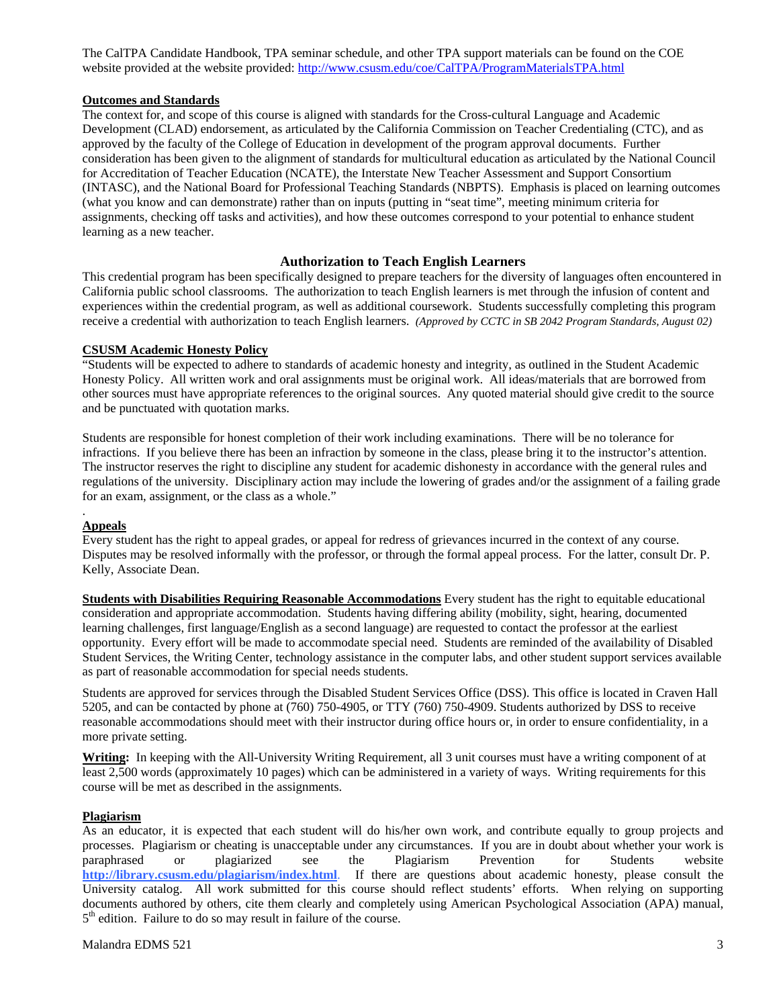The CalTPA Candidate Handbook, TPA seminar schedule, and other TPA support materials can be found on the COE website provided at the website provided: http://www.csusm.edu/coe/CalTPA/ProgramMaterialsTPA.html

#### **Outcomes and Standards**

 for Accreditation of Teacher Education (NCATE), the Interstate New Teacher Assessment and Support Consortium The context for, and scope of this course is aligned with standards for the Cross-cultural Language and Academic Development (CLAD) endorsement, as articulated by the California Commission on Teacher Credentialing (CTC), and as approved by the faculty of the College of Education in development of the program approval documents. Further consideration has been given to the alignment of standards for multicultural education as articulated by the National Council (INTASC), and the National Board for Professional Teaching Standards (NBPTS). Emphasis is placed on learning outcomes (what you know and can demonstrate) rather than on inputs (putting in "seat time", meeting minimum criteria for assignments, checking off tasks and activities), and how these outcomes correspond to your potential to enhance student learning as a new teacher.

#### **Authorization to Teach English Learners**

This credential program has been specifically designed to prepare teachers for the diversity of languages often encountered in California public school classrooms. The authorization to teach English learners is met through the infusion of content and experiences within the credential program, as well as additional coursework. Students successfully completing this program receive a credential with authorization to teach English learners. *(Approved by CCTC in SB 2042 Program Standards, August 02)* 

#### **CSUSM Academic Honesty Policy**

 other sources must have appropriate references to the original sources. Any quoted material should give credit to the source "Students will be expected to adhere to standards of academic honesty and integrity, as outlined in the Student Academic Honesty Policy. All written work and oral assignments must be original work. All ideas/materials that are borrowed from and be punctuated with quotation marks.

Students are responsible for honest completion of their work including examinations. There will be no tolerance for infractions. If you believe there has been an infraction by someone in the class, please bring it to the instructor's attention. The instructor reserves the right to discipline any student for academic dishonesty in accordance with the general rules and regulations of the university. Disciplinary action may include the lowering of grades and/or the assignment of a failing grade for an exam, assignment, or the class as a whole."

#### **Appeals**

.

Every student has the right to appeal grades, or appeal for redress of grievances incurred in the context of any course. Disputes may be resolved informally with the professor, or through the formal appeal process. For the latter, consult Dr. P. Kelly, Associate Dean.

**Students with Disabilities Requiring Reasonable Accommodations** Every student has the right to equitable educational consideration and appropriate accommodation. Students having differing ability (mobility, sight, hearing, documented learning challenges, first language/English as a second language) are requested to contact the professor at the earliest opportunity. Every effort will be made to accommodate special need. Students are reminded of the availability of Disabled Student Services, the Writing Center, technology assistance in the computer labs, and other student support services available as part of reasonable accommodation for special needs students.

 more private setting. Students are approved for services through the Disabled Student Services Office (DSS). This office is located in Craven Hall 5205, and can be contacted by phone at (760) 750-4905, or TTY (760) 750-4909. Students authorized by DSS to receive reasonable accommodations should meet with their instructor during office hours or, in order to ensure confidentiality, in a

 least 2,500 words (approximately 10 pages) which can be administered in a variety of ways. Writing requirements for this **Writing:** In keeping with the All-University Writing Requirement, all 3 unit courses must have a writing component of at course will be met as described in the assignments.

#### **Plagiarism**

As an educator, it is expected that each student will do his/her own work, and contribute equally to group projects and processes. Plagiarism or cheating is unacceptable under any circumstances. If you are in doubt about whether your work is paraphrased or plagiarized see the Plagiarism Prevention for Students website **http://library.csusm.edu/plagiarism/index.html**. If there are questions about academic honesty, please consult the University catalog. All work submitted for this course should reflect students' efforts. When relying on supporting documents authored by others, cite them clearly and completely using American Psychological Association (APA) manual,  $5<sup>th</sup>$  edition. Failure to do so may result in failure of the course.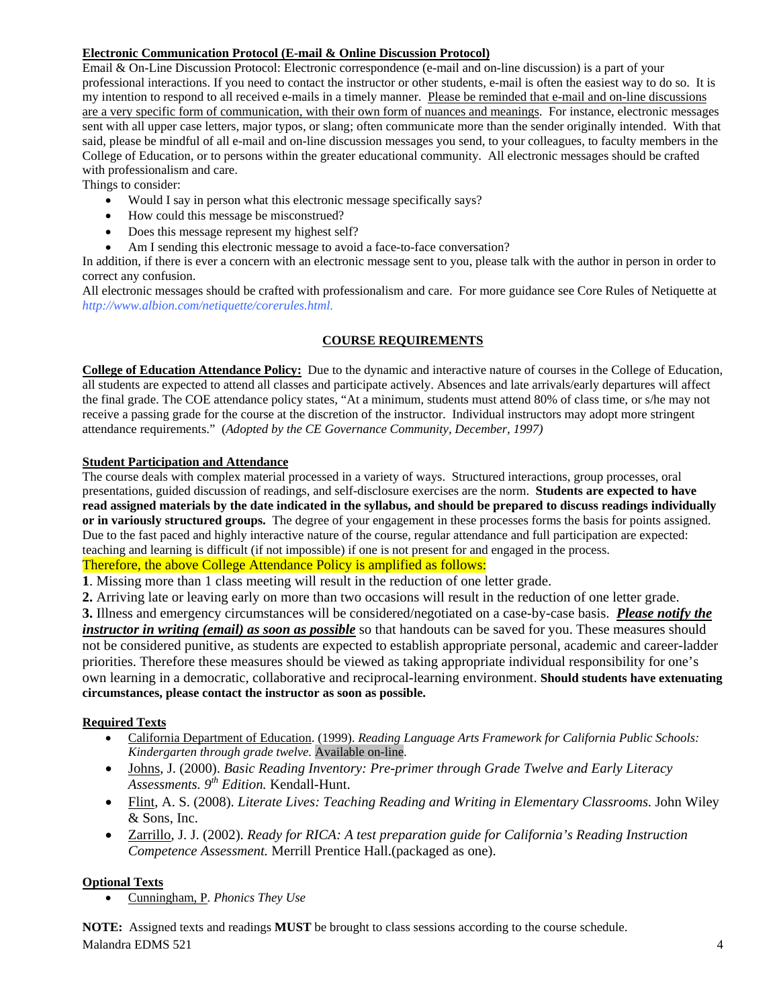# **Electronic Communication Protocol (E-mail & Online Discussion Protocol)**

 sent with all upper case letters, major typos, or slang; often communicate more than the sender originally intended. With that said, please be mindful of all e-mail and on-line discussion messages you send, to your colleagues, to faculty members in the College of Education, or to persons within the greater educational community. All electronic messages should be crafted Email & On-Line Discussion Protocol: Electronic correspondence (e-mail and on-line discussion) is a part of your professional interactions. If you need to contact the instructor or other students, e-mail is often the easiest way to do so. It is my intention to respond to all received e-mails in a timely manner. Please be reminded that e-mail and on-line discussions are a very specific form of communication, with their own form of nuances and meanings. For instance, electronic messages with professionalism and care.

Things to consider:

- Would I say in person what this electronic message specifically says?
- How could this message be misconstrued?
- Does this message represent my highest self?
- Am I sending this electronic message to avoid a face-to-face conversation?

In addition, if there is ever a concern with an electronic message sent to you, please talk with the author in person in order to correct any confusion.

All electronic messages should be crafted with professionalism and care. For more guidance see Core Rules of Netiquette at *http://www.albion.com/netiquette/corerules.html.* 

## **COURSE REQUIREMENTS**

**College of Education Attendance Policy:** Due to the dynamic and interactive nature of courses in the College of Education, all students are expected to attend all classes and participate actively. Absences and late arrivals/early departures will affect the final grade. The COE attendance policy states, "At a minimum, students must attend 80% of class time, or s/he may not receive a passing grade for the course at the discretion of the instructor. Individual instructors may adopt more stringent attendance requirements." (*Adopted by the CE Governance Community, December, 1997)* 

## **Student Participation and Attendance**

 The course deals with complex material processed in a variety of ways. Structured interactions, group processes, oral presentations, guided discussion of readings, and self-disclosure exercises are the norm. **Students are expected to have or in variously structured groups.** The degree of your engagement in these processes forms the basis for points assigned. **read assigned materials by the date indicated in the syllabus, and should be prepared to discuss readings individually**  Due to the fast paced and highly interactive nature of the course, regular attendance and full participation are expected: teaching and learning is difficult (if not impossible) if one is not present for and engaged in the process.

Therefore, the above College Attendance Policy is amplified as follows:

**1**. Missing more than 1 class meeting will result in the reduction of one letter grade.

**2.** Arriving late or leaving early on more than two occasions will result in the reduction of one letter grade.

 **3.** Illness and emergency circumstances will be considered/negotiated on a case-by-case basis. *Please notify the instructor in writing (email) as soon as possible* so that handouts can be saved for you. These measures should not be considered punitive, as students are expected to establish appropriate personal, academic and career-ladder priorities. Therefore these measures should be viewed as taking appropriate individual responsibility for one's own learning in a democratic, collaborative and reciprocal-learning environment. **Should students have extenuating circumstances, please contact the instructor as soon as possible.** 

# **Required Texts**

- California Department of Education. (1999). *Reading Language Arts Framework for California Public Schools: Kindergarten through grade twelve.* Available on-line.
- • Johns, J. (2000). *Basic Reading Inventory: Pre-primer through Grade Twelve and Early Literacy Assessments. 9th Edition.* Kendall-Hunt.
- • Flint, A. S. (2008). *Literate Lives: Teaching Reading and Writing in Elementary Classrooms.* John Wiley & Sons, Inc.
- • Zarrillo, J. J. (2002). *Ready for RICA: A test preparation guide for California's Reading Instruction Competence Assessment.* Merrill Prentice Hall.(packaged as one).

# **Optional Texts**

• Cunningham, P. *Phonics They Use* 

 **NOTE:** Assigned texts and readings **MUST** be brought to class sessions according to the course schedule. Malandra EDMS 521 4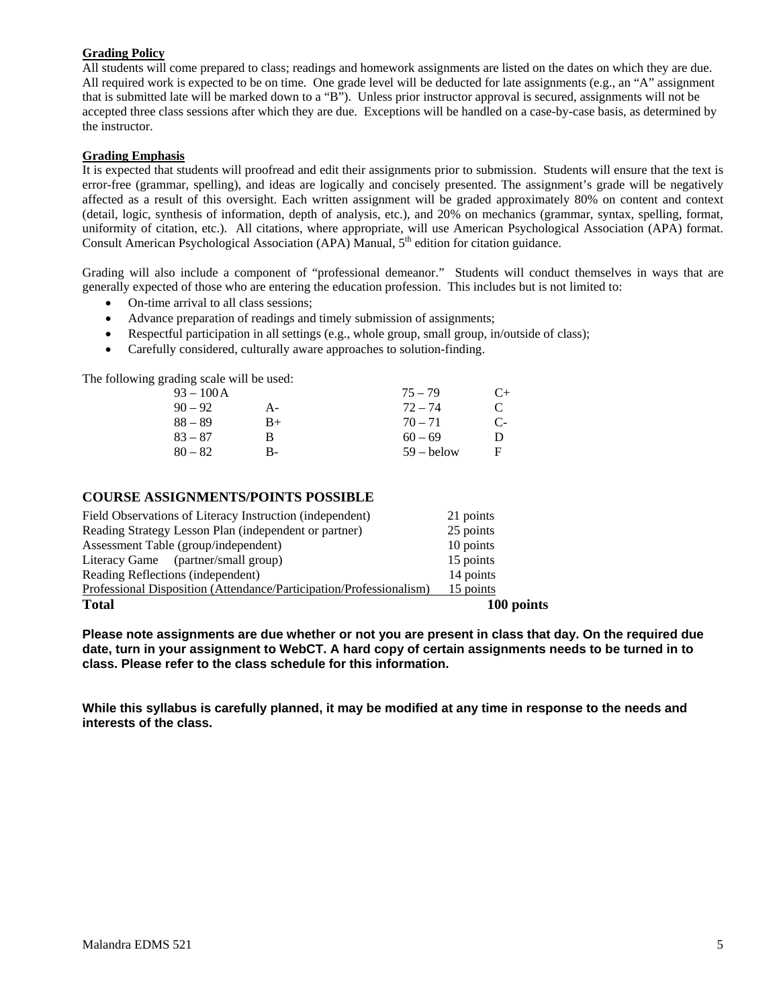# **Grading Policy**

 All required work is expected to be on time. One grade level will be deducted for late assignments (e.g., an "A" assignment All students will come prepared to class; readings and homework assignments are listed on the dates on which they are due. that is submitted late will be marked down to a "B"). Unless prior instructor approval is secured, assignments will not be accepted three class sessions after which they are due. Exceptions will be handled on a case-by-case basis, as determined by the instructor.

#### **Grading Emphasis**

 affected as a result of this oversight. Each written assignment will be graded approximately 80% on content and context (detail, logic, synthesis of information, depth of analysis, etc.), and 20% on mechanics (grammar, syntax, spelling, format, uniformity of citation, etc.). All citations, where appropriate, will use American Psychological Association (APA) format.<br>Consult American Psychological Association (APA) Manual, 5<sup>th</sup> edition for citation guidance. It is expected that students will proofread and edit their assignments prior to submission. Students will ensure that the text is error-free (grammar, spelling), and ideas are logically and concisely presented. The assignment's grade will be negatively

Grading will also include a component of "professional demeanor." Students will conduct themselves in ways that are generally expected of those who are entering the education profession. This includes but is not limited to:

- On-time arrival to all class sessions;
- Advance preparation of readings and timely submission of assignments;
- Respectful participation in all settings (e.g., whole group, small group, in/outside of class);
- Carefully considered, culturally aware approaches to solution-finding.

The following grading scale will be used:

| $93 - 100A$ |       | $75 - 79$    | $C+$ |
|-------------|-------|--------------|------|
| $90 - 92$   | $A -$ | $72 - 74$    | C    |
| $88 - 89$   | B+    | $70 - 71$    | $C-$ |
| $83 - 87$   | В     | $60 - 69$    | Ð    |
| $80 - 82$   | В-    | $59 -$ helow | F    |

#### **COURSE ASSIGNMENTS/POINTS POSSIBLE**

| <b>Total</b>                                                        | 100 points |
|---------------------------------------------------------------------|------------|
| Professional Disposition (Attendance/Participation/Professionalism) | 15 points  |
| Reading Reflections (independent)                                   | 14 points  |
| Literacy Game (partner/small group)                                 | 15 points  |
| Assessment Table (group/independent)                                | 10 points  |
| Reading Strategy Lesson Plan (independent or partner)               | 25 points  |
| Field Observations of Literacy Instruction (independent)            | 21 points  |

**Please note assignments are due whether or not you are present in class that day. On the required due date, turn in your assignment to WebCT. A hard copy of certain assignments needs to be turned in to class. Please refer to the class schedule for this information.** 

**While this syllabus is carefully planned, it may be modified at any time in response to the needs and interests of the class.**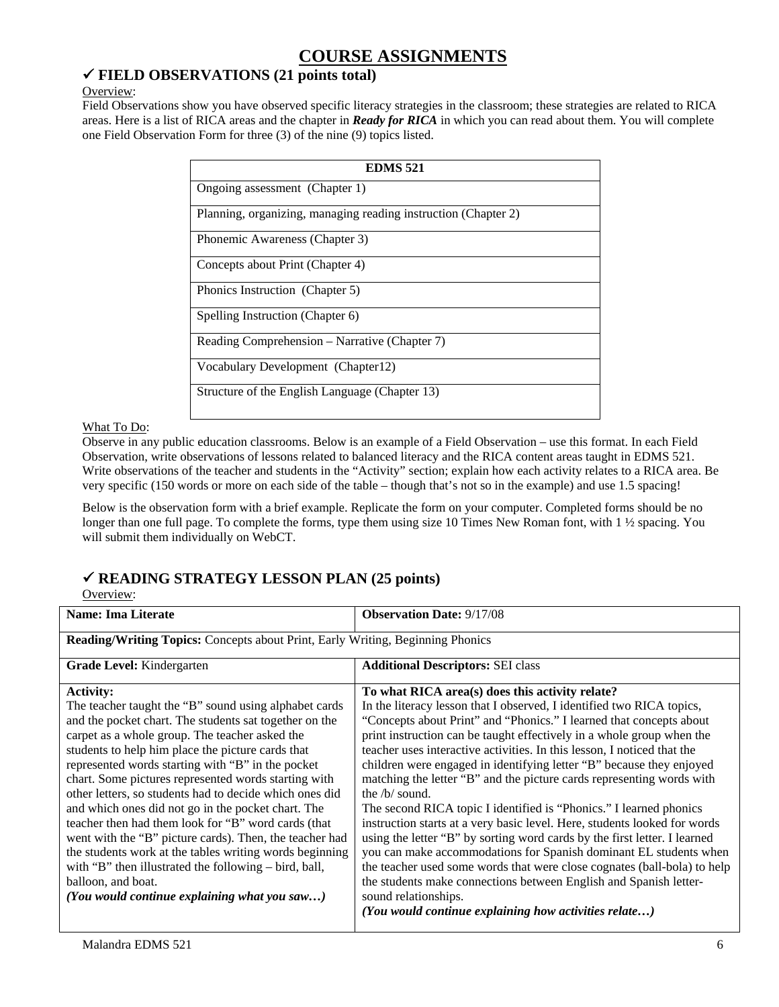# **COURSE ASSIGNMENTS**

# 9 **FIELD OBSERVATIONS (21 points total)**

## Overview:

Field Observations show you have observed specific literacy strategies in the classroom; these strategies are related to RICA areas. Here is a list of RICA areas and the chapter in *Ready for RICA* in which you can read about them. You will complete one Field Observation Form for three (3) of the nine (9) topics listed.

| <b>EDMS 521</b>                                                |
|----------------------------------------------------------------|
| Ongoing assessment (Chapter 1)                                 |
| Planning, organizing, managing reading instruction (Chapter 2) |
| Phonemic Awareness (Chapter 3)                                 |
| Concepts about Print (Chapter 4)                               |
| Phonics Instruction (Chapter 5)                                |
| Spelling Instruction (Chapter 6)                               |
| Reading Comprehension – Narrative (Chapter 7)                  |
| Vocabulary Development (Chapter 12)                            |
| Structure of the English Language (Chapter 13)                 |

## What To Do:

Observe in any public education classrooms. Below is an example of a Field Observation – use this format. In each Field Observation, write observations of lessons related to balanced literacy and the RICA content areas taught in EDMS 521. Write observations of the teacher and students in the "Activity" section; explain how each activity relates to a RICA area. Be very specific (150 words or more on each side of the table – though that's not so in the example) and use 1.5 spacing!

 Below is the observation form with a brief example. Replicate the form on your computer. Completed forms should be no will submit them individually on WebCT. longer than one full page. To complete the forms, type them using size 10 Times New Roman font, with 1  $\frac{1}{2}$  spacing. You

# 9 **READING STRATEGY LESSON PLAN (25 points)**

Overview:

| <b>Name: Ima Literate</b>                                                                                                                                                                                                                                                                                                                                                                                                                                                                                                                                                                                                                                                                                                                                                            | <b>Observation Date: 9/17/08</b>                                                                                                                                                                                                                                                                                                                                                                                                                                                                                                                                                                                                                                                                                                                                                                                                                                                                                                                                                                                                                                |  |  |
|--------------------------------------------------------------------------------------------------------------------------------------------------------------------------------------------------------------------------------------------------------------------------------------------------------------------------------------------------------------------------------------------------------------------------------------------------------------------------------------------------------------------------------------------------------------------------------------------------------------------------------------------------------------------------------------------------------------------------------------------------------------------------------------|-----------------------------------------------------------------------------------------------------------------------------------------------------------------------------------------------------------------------------------------------------------------------------------------------------------------------------------------------------------------------------------------------------------------------------------------------------------------------------------------------------------------------------------------------------------------------------------------------------------------------------------------------------------------------------------------------------------------------------------------------------------------------------------------------------------------------------------------------------------------------------------------------------------------------------------------------------------------------------------------------------------------------------------------------------------------|--|--|
| <b>Reading/Writing Topics:</b> Concepts about Print, Early Writing, Beginning Phonics                                                                                                                                                                                                                                                                                                                                                                                                                                                                                                                                                                                                                                                                                                |                                                                                                                                                                                                                                                                                                                                                                                                                                                                                                                                                                                                                                                                                                                                                                                                                                                                                                                                                                                                                                                                 |  |  |
| Grade Level: Kindergarten                                                                                                                                                                                                                                                                                                                                                                                                                                                                                                                                                                                                                                                                                                                                                            | <b>Additional Descriptors: SEI class</b>                                                                                                                                                                                                                                                                                                                                                                                                                                                                                                                                                                                                                                                                                                                                                                                                                                                                                                                                                                                                                        |  |  |
| <b>Activity:</b><br>The teacher taught the "B" sound using alphabet cards<br>and the pocket chart. The students sat together on the<br>carpet as a whole group. The teacher asked the<br>students to help him place the picture cards that<br>represented words starting with "B" in the pocket<br>chart. Some pictures represented words starting with<br>other letters, so students had to decide which ones did<br>and which ones did not go in the pocket chart. The<br>teacher then had them look for "B" word cards (that<br>went with the "B" picture cards). Then, the teacher had<br>the students work at the tables writing words beginning<br>with "B" then illustrated the following – bird, ball,<br>balloon, and boat.<br>(You would continue explaining what you saw) | To what RICA area(s) does this activity relate?<br>In the literacy lesson that I observed, I identified two RICA topics,<br>"Concepts about Print" and "Phonics." I learned that concepts about<br>print instruction can be taught effectively in a whole group when the<br>teacher uses interactive activities. In this lesson, I noticed that the<br>children were engaged in identifying letter "B" because they enjoyed<br>matching the letter "B" and the picture cards representing words with<br>the $/b/$ sound.<br>The second RICA topic I identified is "Phonics." I learned phonics<br>instruction starts at a very basic level. Here, students looked for words<br>using the letter "B" by sorting word cards by the first letter. I learned<br>you can make accommodations for Spanish dominant EL students when<br>the teacher used some words that were close cognates (ball-bola) to help<br>the students make connections between English and Spanish letter-<br>sound relationships.<br>(You would continue explaining how activities relate) |  |  |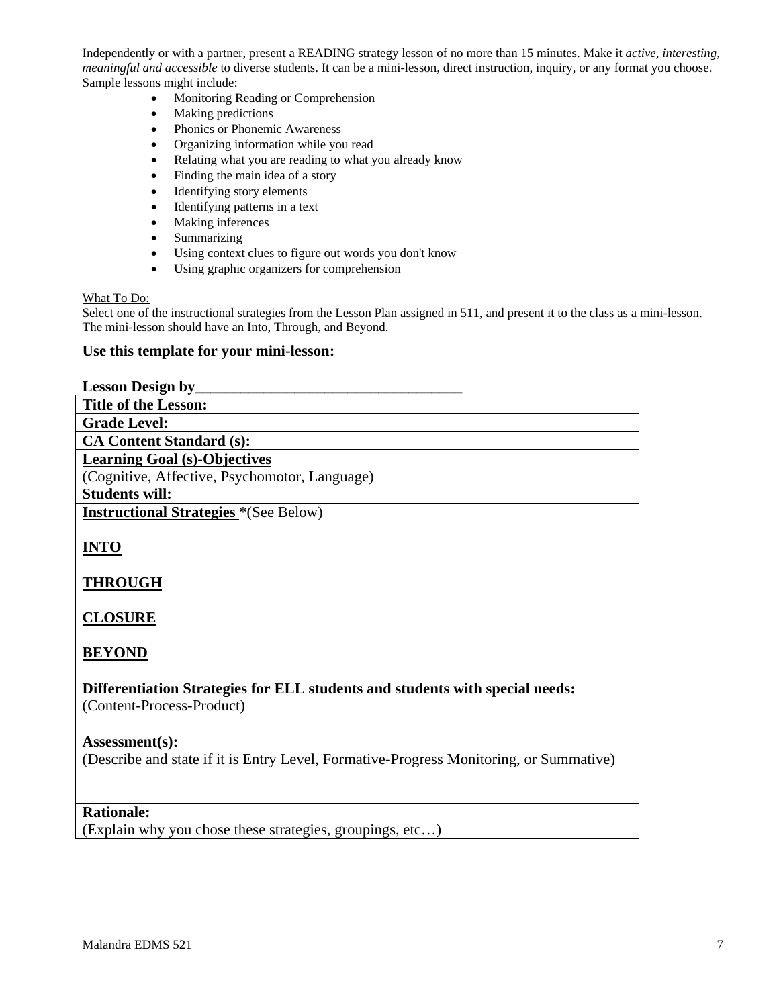Independently or with a partner, present a READING strategy lesson of no more than 15 minutes. Make it *active, interesting, meaningful and accessible* to diverse students. It can be a mini-lesson, direct instruction, inquiry, or any format you choose. Sample lessons might include:

- Monitoring Reading or Comprehension
- Making predictions
- Phonics or Phonemic Awareness
- Organizing information while you read
- Relating what you are reading to what you already know
- Finding the main idea of a story
- Identifying story elements
- Identifying patterns in a text
- Making inferences
- **Summarizing**
- Using context clues to figure out words you don't know
- Using graphic organizers for comprehension

#### What To Do:

 The mini-lesson should have an Into, Through, and Beyond. Select one of the instructional strategies from the Lesson Plan assigned in 511, and present it to the class as a mini-lesson.

## **Use this template for your mini-lesson:**

| <b>Lesson Design by___</b>                                                             |
|----------------------------------------------------------------------------------------|
| <b>Title of the Lesson:</b>                                                            |
| <b>Grade Level:</b>                                                                    |
| <b>CA Content Standard (s):</b>                                                        |
| <b>Learning Goal (s)-Objectives</b>                                                    |
| (Cognitive, Affective, Psychomotor, Language)                                          |
| <b>Students will:</b>                                                                  |
| <b>Instructional Strategies</b> *(See Below)                                           |
|                                                                                        |
| <b>INTO</b>                                                                            |
|                                                                                        |
| <b>THROUGH</b>                                                                         |
|                                                                                        |
| <b>CLOSURE</b>                                                                         |
|                                                                                        |
| <b>BEYOND</b>                                                                          |
|                                                                                        |
| Differentiation Strategies for ELL students and students with special needs:           |
| (Content-Process-Product)                                                              |
|                                                                                        |
| Assessment(s):                                                                         |
| (Describe and state if it is Entry Level, Formative-Progress Monitoring, or Summative) |
|                                                                                        |
|                                                                                        |
| <b>Rationale:</b>                                                                      |
| (Explain why you chose these strategies, groupings, etc)                               |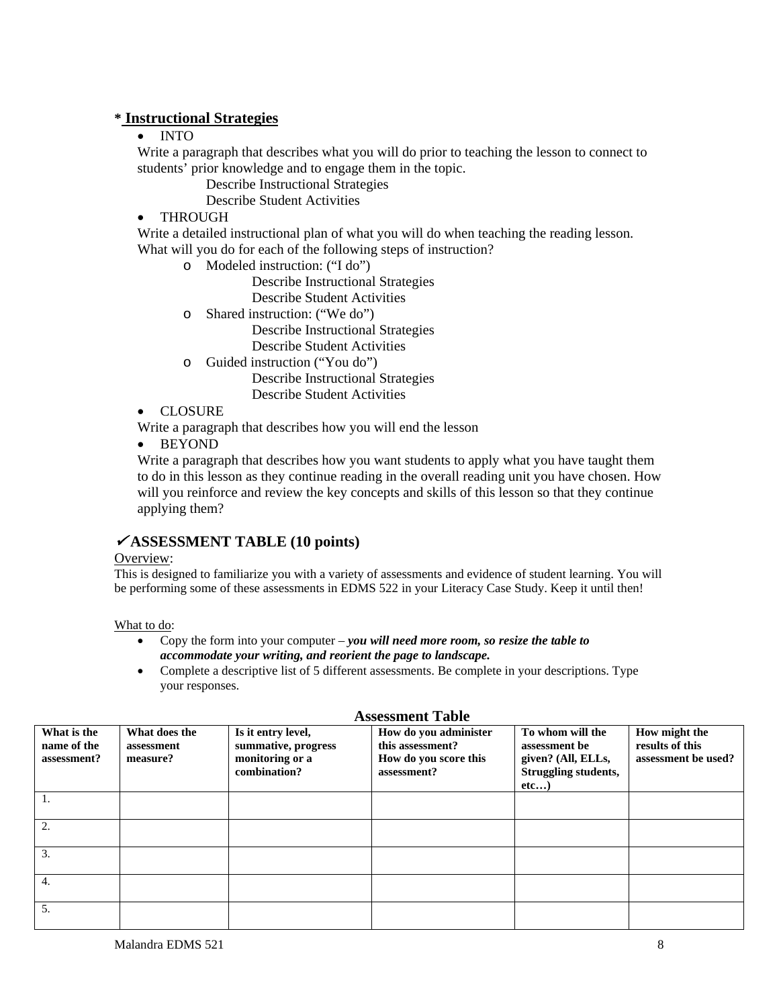# **\* Instructional Strategies**

# • INTO

Write a paragraph that describes what you will do prior to teaching the lesson to connect to students' prior knowledge and to engage them in the topic.

Describe Instructional Strategies

Describe Student Activities

# • THROUGH

Write a detailed instructional plan of what you will do when teaching the reading lesson. What will you do for each of the following steps of instruction?

o Modeled instruction: ("I do")

Describe Instructional Strategies Describe Student Activities

o Shared instruction: ("We do")

Describe Instructional Strategies

Describe Student Activities

o Guided instruction ("You do")

Describe Instructional Strategies

Describe Student Activities

• CLOSURE

Write a paragraph that describes how you will end the lesson

• BEYOND

Write a paragraph that describes how you want students to apply what you have taught them to do in this lesson as they continue reading in the overall reading unit you have chosen. How will you reinforce and review the key concepts and skills of this lesson so that they continue applying them?

# <sup>9</sup> **ASSESSMENT TABLE (10 points)**

## Overview:

 be performing some of these assessments in EDMS 522 in your Literacy Case Study. Keep it until then! This is designed to familiarize you with a variety of assessments and evidence of student learning. You will

What to do:

- • Copy the form into your computer *you will need more room, so resize the table to*  *accommodate your writing, and reorient the page to landscape.*
- Complete a descriptive list of 5 different assessments. Be complete in your descriptions. Type your responses.

| Tropophicus Tuote |                                           |                                         |                                                                              |                                                                                   |                                                                                                |                                                         |
|-------------------|-------------------------------------------|-----------------------------------------|------------------------------------------------------------------------------|-----------------------------------------------------------------------------------|------------------------------------------------------------------------------------------------|---------------------------------------------------------|
|                   | What is the<br>name of the<br>assessment? | What does the<br>assessment<br>measure? | Is it entry level,<br>summative, progress<br>monitoring or a<br>combination? | How do you administer<br>this assessment?<br>How do you score this<br>assessment? | To whom will the<br>assessment be<br>given? (All, ELLs,<br><b>Struggling students,</b><br>etc) | How might the<br>results of this<br>assessment be used? |
|                   |                                           |                                         |                                                                              |                                                                                   |                                                                                                |                                                         |
|                   | 2.                                        |                                         |                                                                              |                                                                                   |                                                                                                |                                                         |
|                   | 3.                                        |                                         |                                                                              |                                                                                   |                                                                                                |                                                         |
|                   | 4.                                        |                                         |                                                                              |                                                                                   |                                                                                                |                                                         |
|                   | 5.                                        |                                         |                                                                              |                                                                                   |                                                                                                |                                                         |

## **Assessment Table**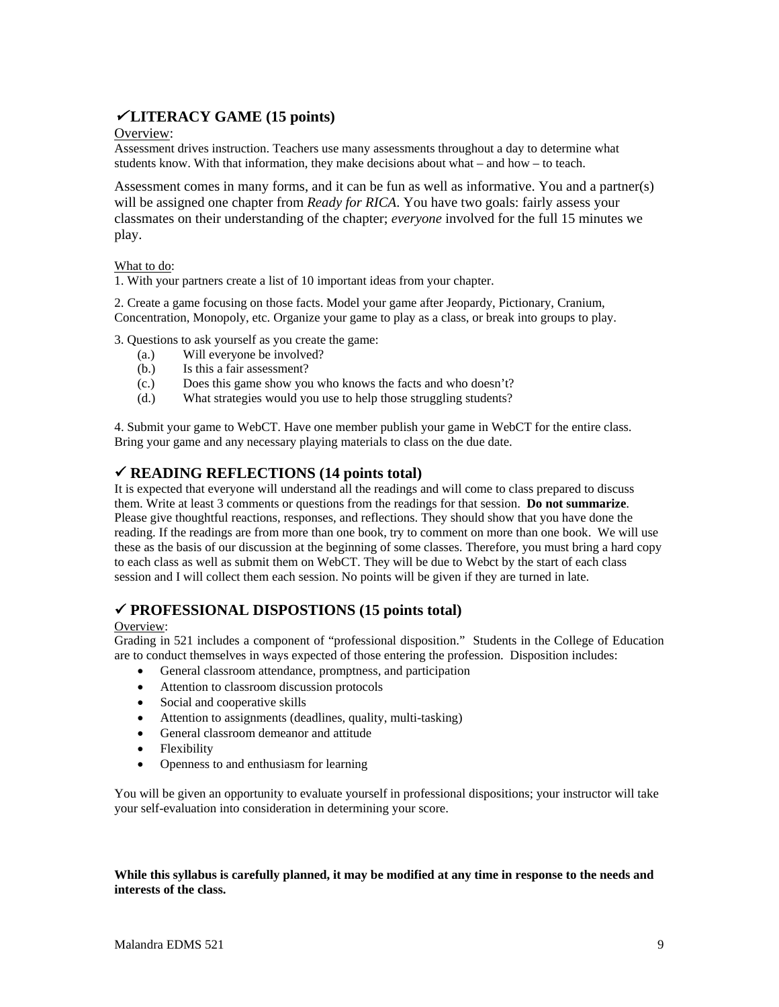# <sup>9</sup> **LITERACY GAME (15 points)**

## Overview:

Assessment drives instruction. Teachers use many assessments throughout a day to determine what students know. With that information, they make decisions about what – and how – to teach.

Assessment comes in many forms, and it can be fun as well as informative. You and a partner(s) will be assigned one chapter from *Ready for RICA*. You have two goals: fairly assess your classmates on their understanding of the chapter; *everyone* involved for the full 15 minutes we play.

## What to do:

1. With your partners create a list of 10 important ideas from your chapter.

 1. With your partners create a list of 10 important ideas from your chapter. 2. Create a game focusing on those facts. Model your game after Jeopardy, Pictionary, Cranium, Concentration, Monopoly, etc. Organize your game to play as a class, or break into groups to play.

3. Questions to ask yourself as you create the game:

- (a.) Will everyone be involved?
- Is this a fair assessment?
- Does this game show you who knows the facts and who doesn't? (b.) Is this a fair assessment? (c.) Does this game show you who knows the facts and who doesn't? (d.) What strategies would you use to help those struggling students?
- 

 4. Submit your game to WebCT. Have one member publish your game in WebCT for the entire class. Bring your game and any necessary playing materials to class on the due date.

# 9 **READING REFLECTIONS (14 points total)**

 reading. If the readings are from more than one book, try to comment on more than one book. We will use It is expected that everyone will understand all the readings and will come to class prepared to discuss them. Write at least 3 comments or questions from the readings for that session. **Do not summarize**. Please give thoughtful reactions, responses, and reflections. They should show that you have done the these as the basis of our discussion at the beginning of some classes. Therefore, you must bring a hard copy to each class as well as submit them on WebCT. They will be due to Webct by the start of each class session and I will collect them each session. No points will be given if they are turned in late.

# 9 **PROFESSIONAL DISPOSTIONS (15 points total)**

#### Overview:

 Grading in 521 includes a component of "professional disposition." Students in the College of Education are to conduct themselves in ways expected of those entering the profession. Disposition includes:

- General classroom attendance, promptness, and participation
- Attention to classroom discussion protocols
- Social and cooperative skills
- Attention to assignments (deadlines, quality, multi-tasking)
- General classroom demeanor and attitude
- Flexibility
- Openness to and enthusiasm for learning

 You will be given an opportunity to evaluate yourself in professional dispositions; your instructor will take your self-evaluation into consideration in determining your score.

#### **While this syllabus is carefully planned, it may be modified at any time in response to the needs and interests of the class.**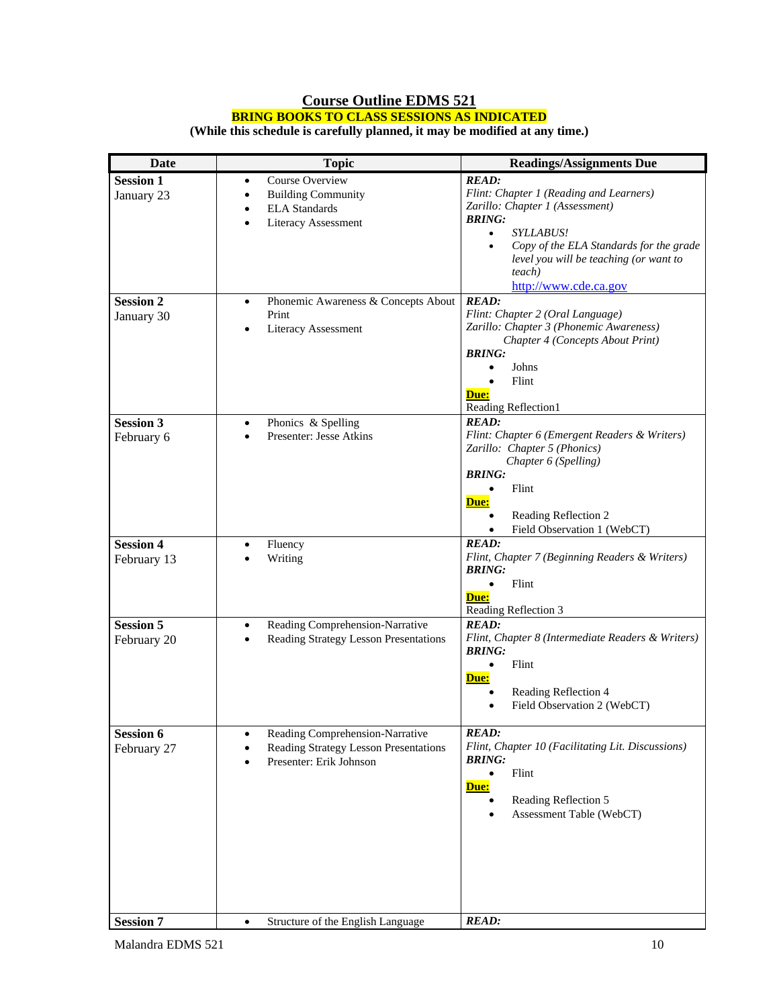# **Course Outline EDMS 521 BRING BOOKS TO CLASS SESSIONS AS INDICATED**

**(While this schedule is carefully planned, it may be modified at any time.)** 

| <b>Date</b>      | <b>Topic</b>                                               | <b>Readings/Assignments Due</b>                                             |  |
|------------------|------------------------------------------------------------|-----------------------------------------------------------------------------|--|
| <b>Session 1</b> | Course Overview<br>$\bullet$                               | <b>READ:</b>                                                                |  |
| January 23       | <b>Building Community</b><br>$\bullet$                     | Flint: Chapter 1 (Reading and Learners)                                     |  |
|                  | <b>ELA</b> Standards<br>$\bullet$                          | Zarillo: Chapter 1 (Assessment)                                             |  |
|                  | Literacy Assessment<br>$\bullet$                           | <b>BRING:</b><br><b>SYLLABUS!</b><br>$\bullet$                              |  |
|                  |                                                            | Copy of the ELA Standards for the grade                                     |  |
|                  |                                                            | level you will be teaching (or want to                                      |  |
|                  |                                                            | teach)                                                                      |  |
|                  |                                                            | http://www.cde.ca.gov                                                       |  |
| <b>Session 2</b> | Phonemic Awareness & Concepts About<br>$\bullet$           | <b>READ:</b>                                                                |  |
| January 30       | Print                                                      | Flint: Chapter 2 (Oral Language)<br>Zarillo: Chapter 3 (Phonemic Awareness) |  |
|                  | Literacy Assessment<br>$\bullet$                           | Chapter 4 (Concepts About Print)                                            |  |
|                  |                                                            | <b>BRING:</b>                                                               |  |
|                  |                                                            | Johns                                                                       |  |
|                  |                                                            | Flint                                                                       |  |
|                  |                                                            | Due:                                                                        |  |
|                  |                                                            | Reading Reflection1                                                         |  |
| <b>Session 3</b> | Phonics & Spelling<br>$\bullet$<br>Presenter: Jesse Atkins | <b>READ:</b><br>Flint: Chapter 6 (Emergent Readers & Writers)               |  |
| February 6       | $\bullet$                                                  | Zarillo: Chapter 5 (Phonics)                                                |  |
|                  |                                                            | Chapter 6 (Spelling)                                                        |  |
|                  |                                                            | <b>BRING:</b>                                                               |  |
|                  |                                                            | Flint                                                                       |  |
|                  |                                                            | Due:                                                                        |  |
|                  |                                                            | Reading Reflection 2<br>Field Observation 1 (WebCT)                         |  |
| <b>Session 4</b> | Fluency<br>٠                                               | <b>READ:</b>                                                                |  |
| February 13      | Writing                                                    | Flint, Chapter 7 (Beginning Readers & Writers)                              |  |
|                  |                                                            | <b>BRING:</b>                                                               |  |
|                  |                                                            | Flint<br>$\bullet$                                                          |  |
|                  |                                                            | Due:<br>Reading Reflection 3                                                |  |
| <b>Session 5</b> | Reading Comprehension-Narrative<br>$\bullet$               | <b>READ:</b>                                                                |  |
| February 20      | Reading Strategy Lesson Presentations                      | Flint, Chapter 8 (Intermediate Readers & Writers)                           |  |
|                  |                                                            | <b>BRING:</b>                                                               |  |
|                  |                                                            | Flint                                                                       |  |
|                  |                                                            | <b>Due:</b>                                                                 |  |
|                  |                                                            | Reading Reflection 4<br>Field Observation 2 (WebCT)                         |  |
|                  |                                                            |                                                                             |  |
| <b>Session 6</b> | Reading Comprehension-Narrative<br>$\bullet$               | <b>READ:</b>                                                                |  |
| February 27      | Reading Strategy Lesson Presentations                      | Flint, Chapter 10 (Facilitating Lit. Discussions)                           |  |
|                  | Presenter: Erik Johnson                                    | <b>BRING:</b>                                                               |  |
|                  |                                                            | Flint<br>$\bullet$                                                          |  |
|                  |                                                            | Due:<br>Reading Reflection 5                                                |  |
|                  |                                                            | Assessment Table (WebCT)                                                    |  |
|                  |                                                            |                                                                             |  |
|                  |                                                            |                                                                             |  |
|                  |                                                            |                                                                             |  |
|                  |                                                            |                                                                             |  |
|                  |                                                            |                                                                             |  |
|                  |                                                            |                                                                             |  |
| <b>Session 7</b> | Structure of the English Language<br>$\bullet$             | <b>READ:</b>                                                                |  |